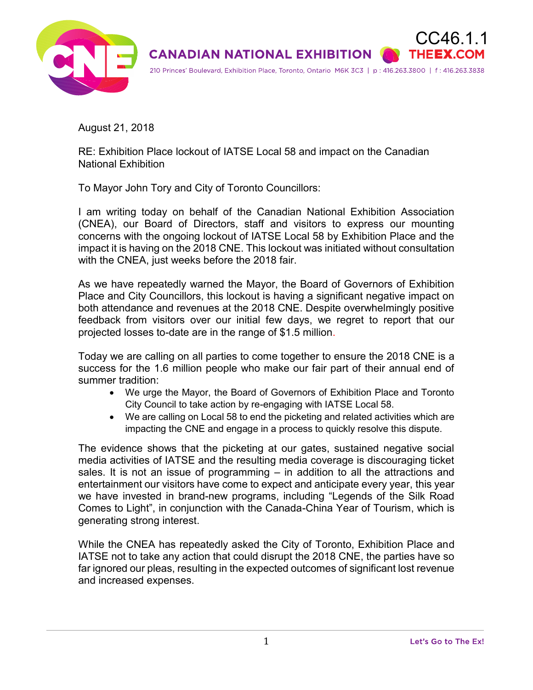

August 21, 2018

RE: Exhibition Place lockout of IATSE Local 58 and impact on the Canadian National Exhibition

To Mayor John Tory and City of Toronto Councillors:

I am writing today on behalf of the Canadian National Exhibition Association (CNEA), our Board of Directors, staff and visitors to express our mounting concerns with the ongoing lockout of IATSE Local 58 by Exhibition Place and the impact it is having on the 2018 CNE. This lockout was initiated without consultation with the CNEA, just weeks before the 2018 fair.

As we have repeatedly warned the Mayor, the Board of Governors of Exhibition Place and City Councillors, this lockout is having a significant negative impact on both attendance and revenues at the 2018 CNE. Despite overwhelmingly positive feedback from visitors over our initial few days, we regret to report that our projected losses to-date are in the range of \$1.5 million.

Today we are calling on all parties to come together to ensure the 2018 CNE is a success for the 1.6 million people who make our fair part of their annual end of summer tradition:

- We urge the Mayor, the Board of Governors of Exhibition Place and Toronto City Council to take action by re-engaging with IATSE Local 58.
- We are calling on Local 58 to end the picketing and related activities which are impacting the CNE and engage in a process to quickly resolve this dispute.

The evidence shows that the picketing at our gates, sustained negative social media activities of IATSE and the resulting media coverage is discouraging ticket sales. It is not an issue of programming – in addition to all the attractions and entertainment our visitors have come to expect and anticipate every year, this year we have invested in brand-new programs, including "Legends of the Silk Road Comes to Light", in conjunction with the Canada-China Year of Tourism, which is generating strong interest.

While the CNEA has repeatedly asked the City of Toronto, Exhibition Place and IATSE not to take any action that could disrupt the 2018 CNE, the parties have so far ignored our pleas, resulting in the expected outcomes of significant lost revenue and increased expenses.